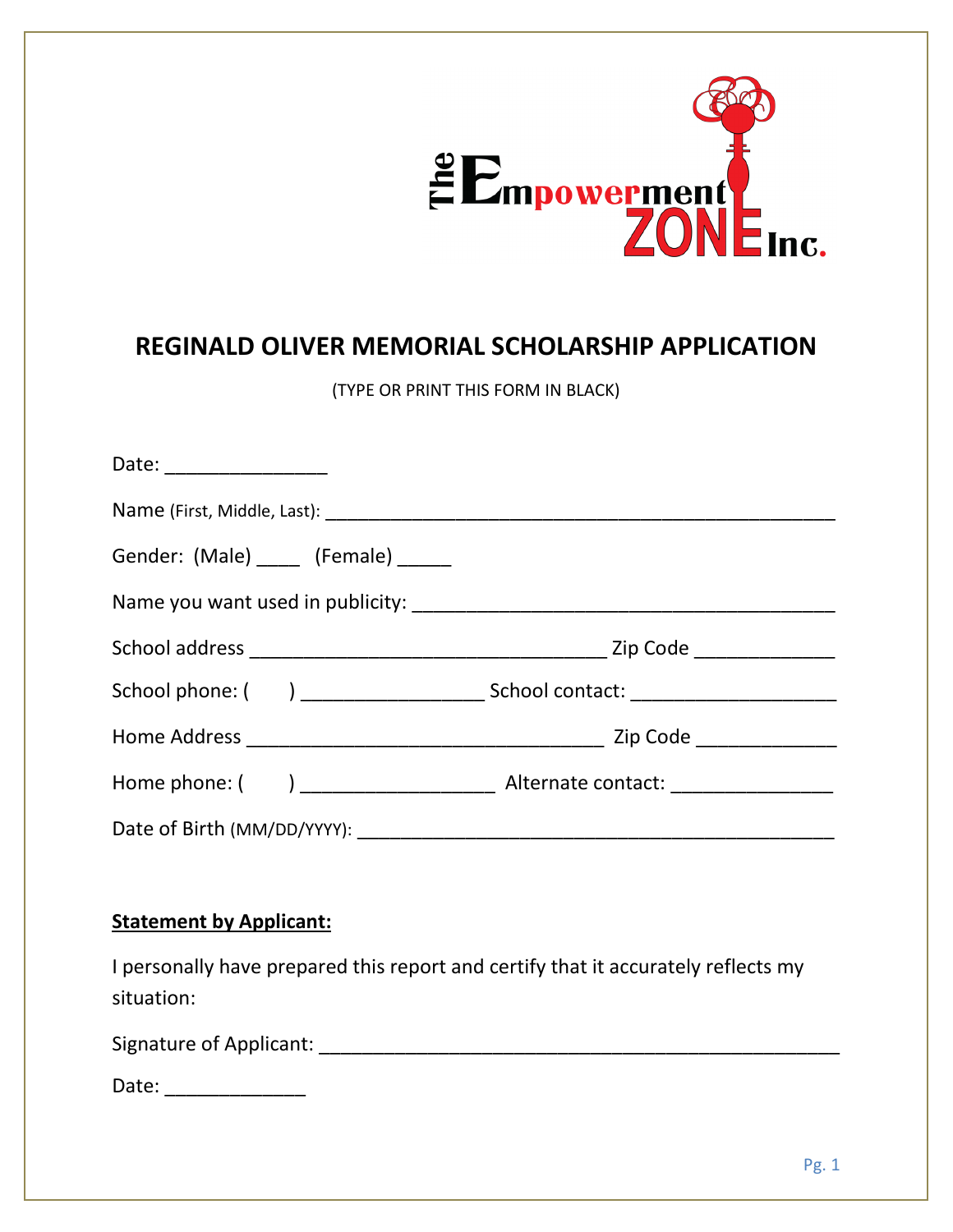

### **REGINALD OLIVER MEMORIAL SCHOLARSHIP APPLICATION**

(TYPE OR PRINT THIS FORM IN BLACK)

| Date: __________________ |                                      |                                                                                  |
|--------------------------|--------------------------------------|----------------------------------------------------------------------------------|
|                          |                                      |                                                                                  |
|                          | Gender: (Male) _____ (Female) ______ |                                                                                  |
|                          |                                      |                                                                                  |
|                          |                                      |                                                                                  |
|                          |                                      |                                                                                  |
|                          |                                      |                                                                                  |
|                          |                                      | Home phone: ( ) __________________________ Alternate contact: __________________ |
|                          |                                      |                                                                                  |

### **Statement by Applicant:**

I personally have prepared this report and certify that it accurately reflects my situation:

| <b>Signature of Applicant:</b> |  |
|--------------------------------|--|
|--------------------------------|--|

| Date: |  |
|-------|--|
|       |  |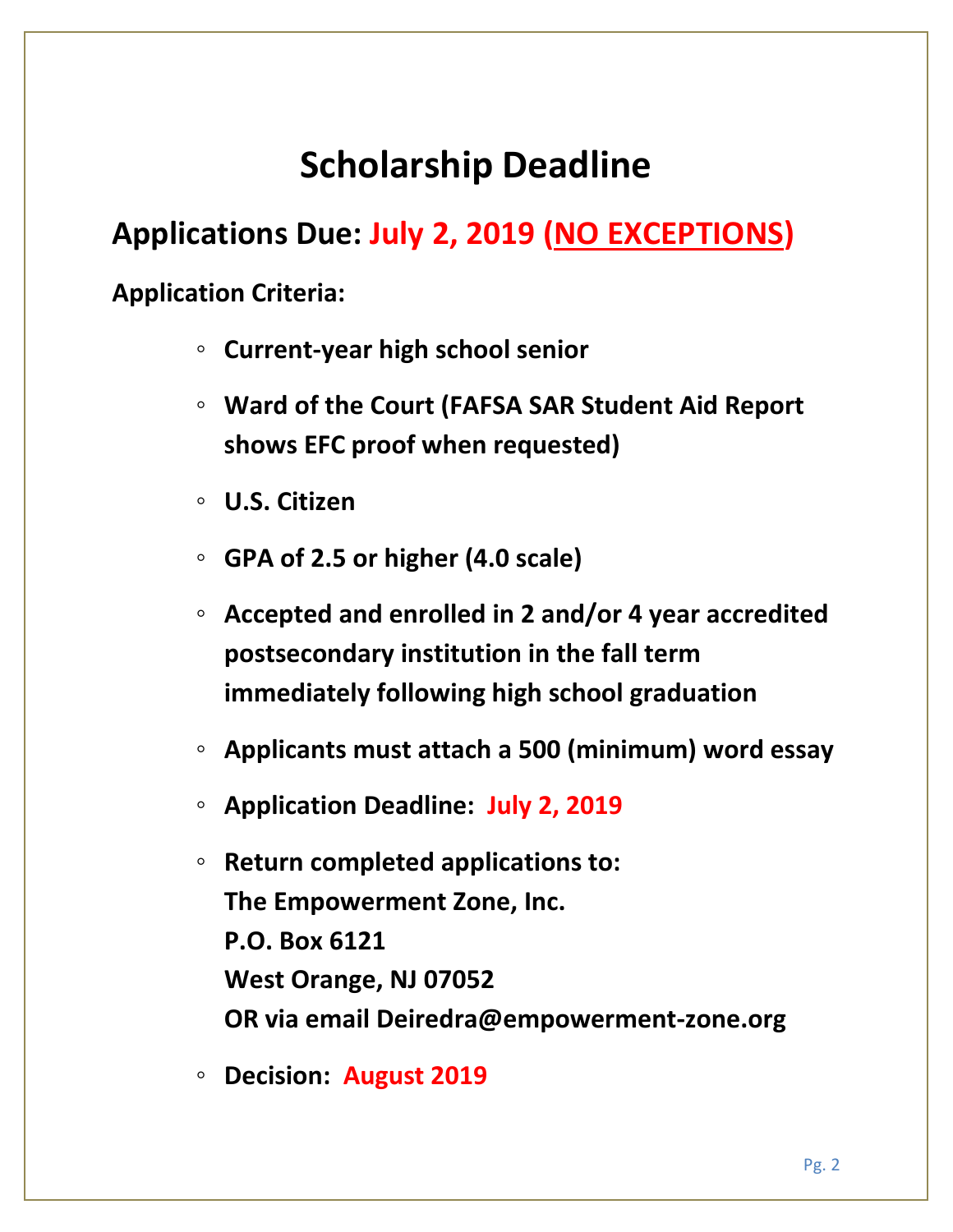# **Scholarship Deadline**

## **Applications Due: July 2, 2019 (NO EXCEPTIONS)**

**Application Criteria:**

- **Current-year high school senior**
- **Ward of the Court (FAFSA SAR Student Aid Report shows EFC proof when requested)**
- **U.S. Citizen**
- **GPA of 2.5 or higher (4.0 scale)**
- **Accepted and enrolled in 2 and/or 4 year accredited postsecondary institution in the fall term immediately following high school graduation**
- **Applicants must attach a 500 (minimum) word essay**
- **Application Deadline: July 2, 2019**
- **Return completed applications to: The Empowerment Zone, Inc. P.O. Box 6121 West Orange, NJ 07052 OR via email Deiredra@empowerment-zone.org**
- **Decision: August 2019**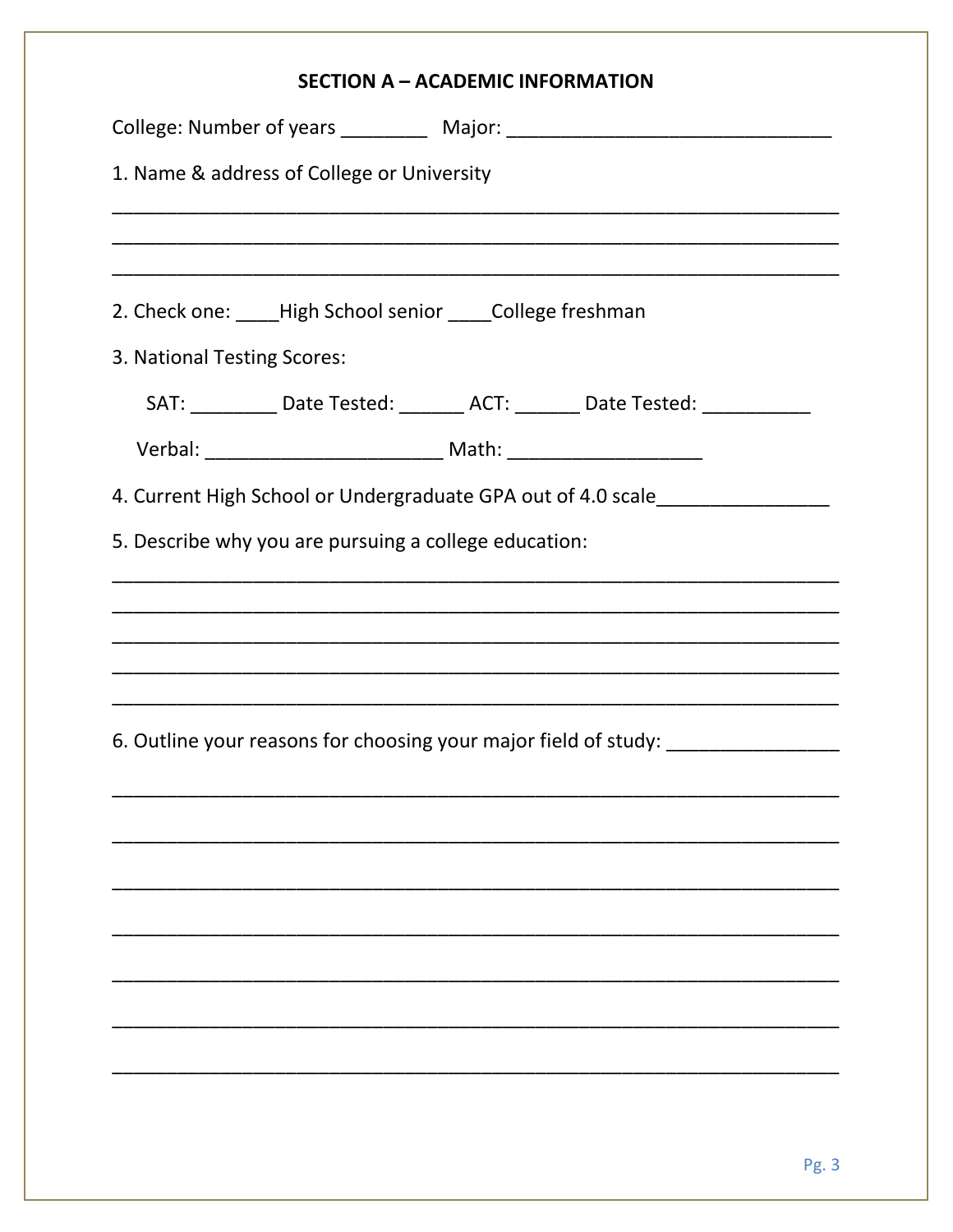| College: Number of years ____________ Major: ___________________________________ |  |                                                                                  |  |
|----------------------------------------------------------------------------------|--|----------------------------------------------------------------------------------|--|
| 1. Name & address of College or University                                       |  |                                                                                  |  |
|                                                                                  |  |                                                                                  |  |
|                                                                                  |  |                                                                                  |  |
| 2. Check one: ____High School senior ____College freshman                        |  |                                                                                  |  |
| 3. National Testing Scores:                                                      |  |                                                                                  |  |
|                                                                                  |  | SAT: ____________ Date Tested: ________ ACT: ________ Date Tested: _____________ |  |
|                                                                                  |  |                                                                                  |  |
| 4. Current High School or Undergraduate GPA out of 4.0 scale____________________ |  |                                                                                  |  |
| 5. Describe why you are pursuing a college education:                            |  |                                                                                  |  |
|                                                                                  |  |                                                                                  |  |
|                                                                                  |  |                                                                                  |  |
|                                                                                  |  |                                                                                  |  |
|                                                                                  |  |                                                                                  |  |
|                                                                                  |  |                                                                                  |  |
|                                                                                  |  |                                                                                  |  |
|                                                                                  |  |                                                                                  |  |
| 6. Outline your reasons for choosing your major field of study: ________         |  |                                                                                  |  |
|                                                                                  |  |                                                                                  |  |
|                                                                                  |  |                                                                                  |  |
|                                                                                  |  |                                                                                  |  |
|                                                                                  |  |                                                                                  |  |
|                                                                                  |  |                                                                                  |  |
|                                                                                  |  |                                                                                  |  |
|                                                                                  |  |                                                                                  |  |
|                                                                                  |  |                                                                                  |  |
|                                                                                  |  |                                                                                  |  |
|                                                                                  |  |                                                                                  |  |
|                                                                                  |  |                                                                                  |  |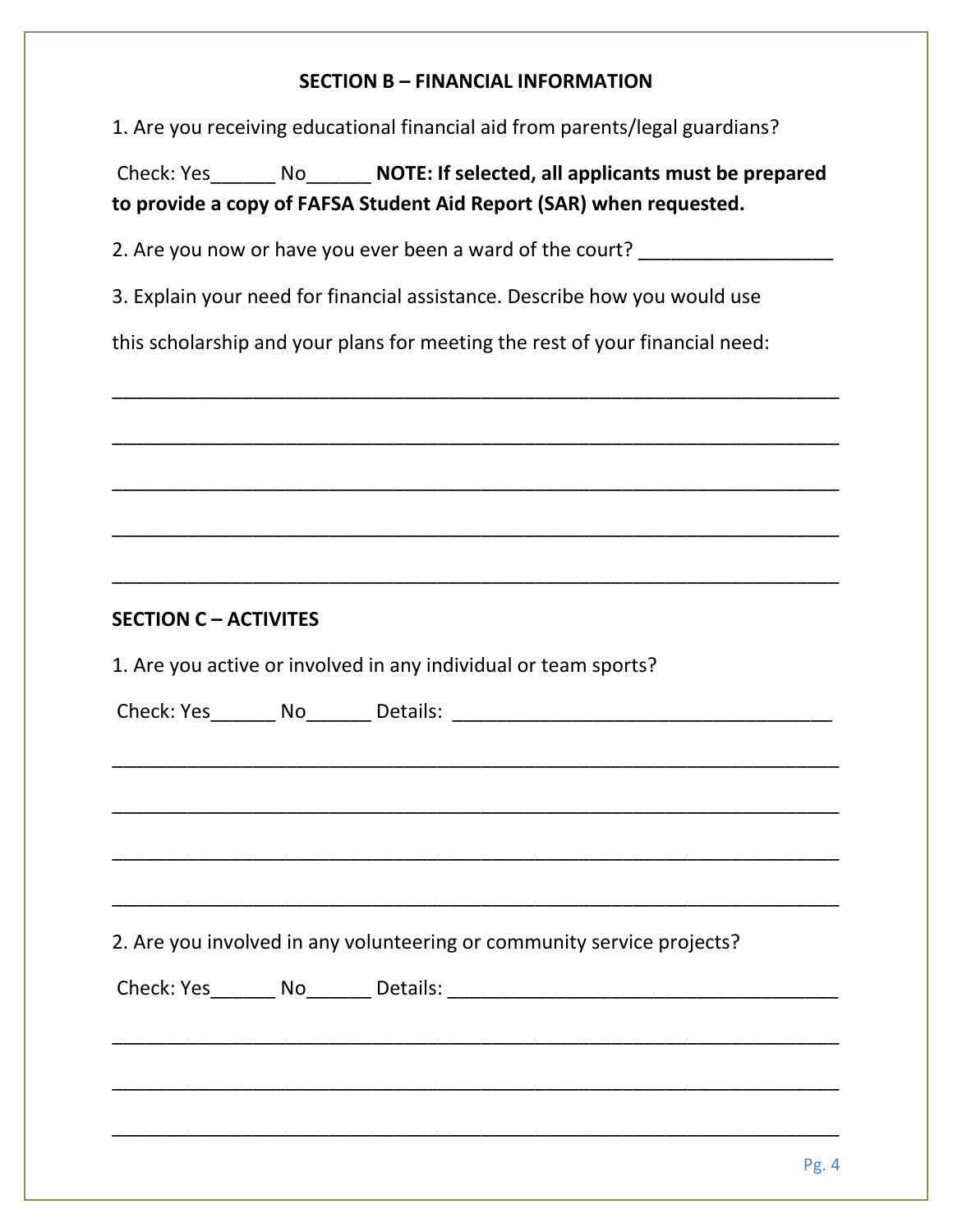#### **SECTION B – FINANCIAL INFORMATION**

1. Are you receiving educational financial aid from parents/legal guardians?

Check: Yes\_\_\_\_\_\_ No\_\_\_\_\_\_ **NOTE: If selected, all applicants must be prepared to provide a copy of FAFSA Student Aid Report (SAR) when requested.**

2. Are you now or have you ever been a ward of the court?

3. Explain your need for financial assistance. Describe how you would use

this scholarship and your plans for meeting the rest of your financial need:

\_\_\_\_\_\_\_\_\_\_\_\_\_\_\_\_\_\_\_\_\_\_\_\_\_\_\_\_\_\_\_\_\_\_\_\_\_\_\_\_\_\_\_\_\_\_\_\_\_\_\_\_\_\_\_\_\_\_\_\_\_\_\_\_\_\_\_

\_\_\_\_\_\_\_\_\_\_\_\_\_\_\_\_\_\_\_\_\_\_\_\_\_\_\_\_\_\_\_\_\_\_\_\_\_\_\_\_\_\_\_\_\_\_\_\_\_\_\_\_\_\_\_\_\_\_\_\_\_\_\_\_\_\_\_

\_\_\_\_\_\_\_\_\_\_\_\_\_\_\_\_\_\_\_\_\_\_\_\_\_\_\_\_\_\_\_\_\_\_\_\_\_\_\_\_\_\_\_\_\_\_\_\_\_\_\_\_\_\_\_\_\_\_\_\_\_\_\_\_\_\_\_

\_\_\_\_\_\_\_\_\_\_\_\_\_\_\_\_\_\_\_\_\_\_\_\_\_\_\_\_\_\_\_\_\_\_\_\_\_\_\_\_\_\_\_\_\_\_\_\_\_\_\_\_\_\_\_\_\_\_\_\_\_\_\_\_\_\_\_

\_\_\_\_\_\_\_\_\_\_\_\_\_\_\_\_\_\_\_\_\_\_\_\_\_\_\_\_\_\_\_\_\_\_\_\_\_\_\_\_\_\_\_\_\_\_\_\_\_\_\_\_\_\_\_\_\_\_\_\_\_\_\_\_\_\_\_

### **SECTION C – ACTIVITES**

1. Are you active or involved in any individual or team sports?

|  | 2. Are you involved in any volunteering or community service projects? |  |
|--|------------------------------------------------------------------------|--|
|  |                                                                        |  |
|  |                                                                        |  |
|  |                                                                        |  |
|  |                                                                        |  |
|  |                                                                        |  |
|  |                                                                        |  |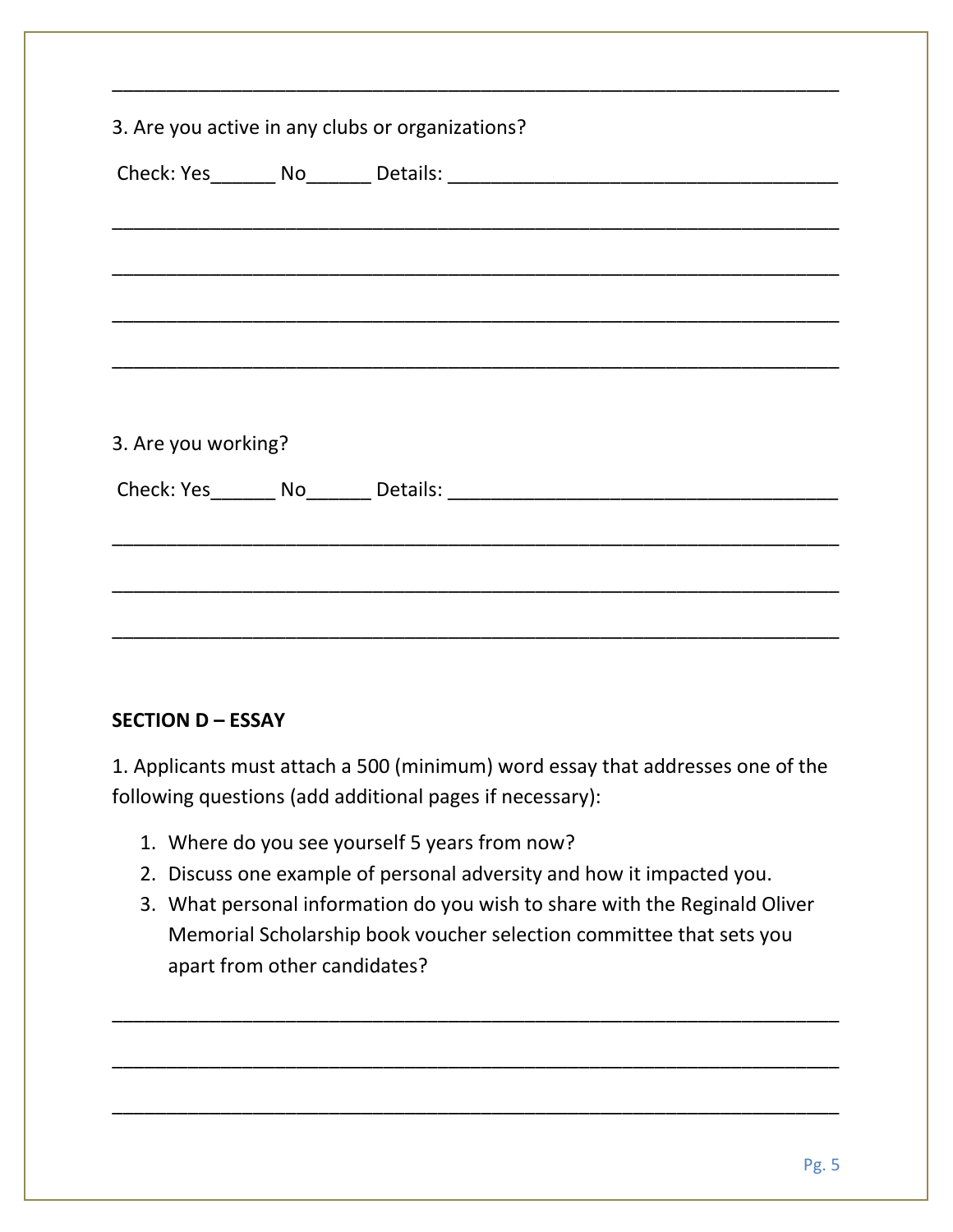| 3. Are you working? |  |  |
|---------------------|--|--|
|                     |  |  |

### **SECTION D – ESSAY**

1. Applicants must attach a 500 (minimum) word essay that addresses one of the following questions (add additional pages if necessary):

- 1. Where do you see yourself 5 years from now?
- 2. Discuss one example of personal adversity and how it impacted you.
- 3. What personal information do you wish to share with the Reginald Oliver Memorial Scholarship book voucher selection committee that sets you apart from other candidates?

\_\_\_\_\_\_\_\_\_\_\_\_\_\_\_\_\_\_\_\_\_\_\_\_\_\_\_\_\_\_\_\_\_\_\_\_\_\_\_\_\_\_\_\_\_\_\_\_\_\_\_\_\_\_\_\_\_\_\_\_\_\_\_\_\_\_\_

\_\_\_\_\_\_\_\_\_\_\_\_\_\_\_\_\_\_\_\_\_\_\_\_\_\_\_\_\_\_\_\_\_\_\_\_\_\_\_\_\_\_\_\_\_\_\_\_\_\_\_\_\_\_\_\_\_\_\_\_\_\_\_\_\_\_\_

\_\_\_\_\_\_\_\_\_\_\_\_\_\_\_\_\_\_\_\_\_\_\_\_\_\_\_\_\_\_\_\_\_\_\_\_\_\_\_\_\_\_\_\_\_\_\_\_\_\_\_\_\_\_\_\_\_\_\_\_\_\_\_\_\_\_\_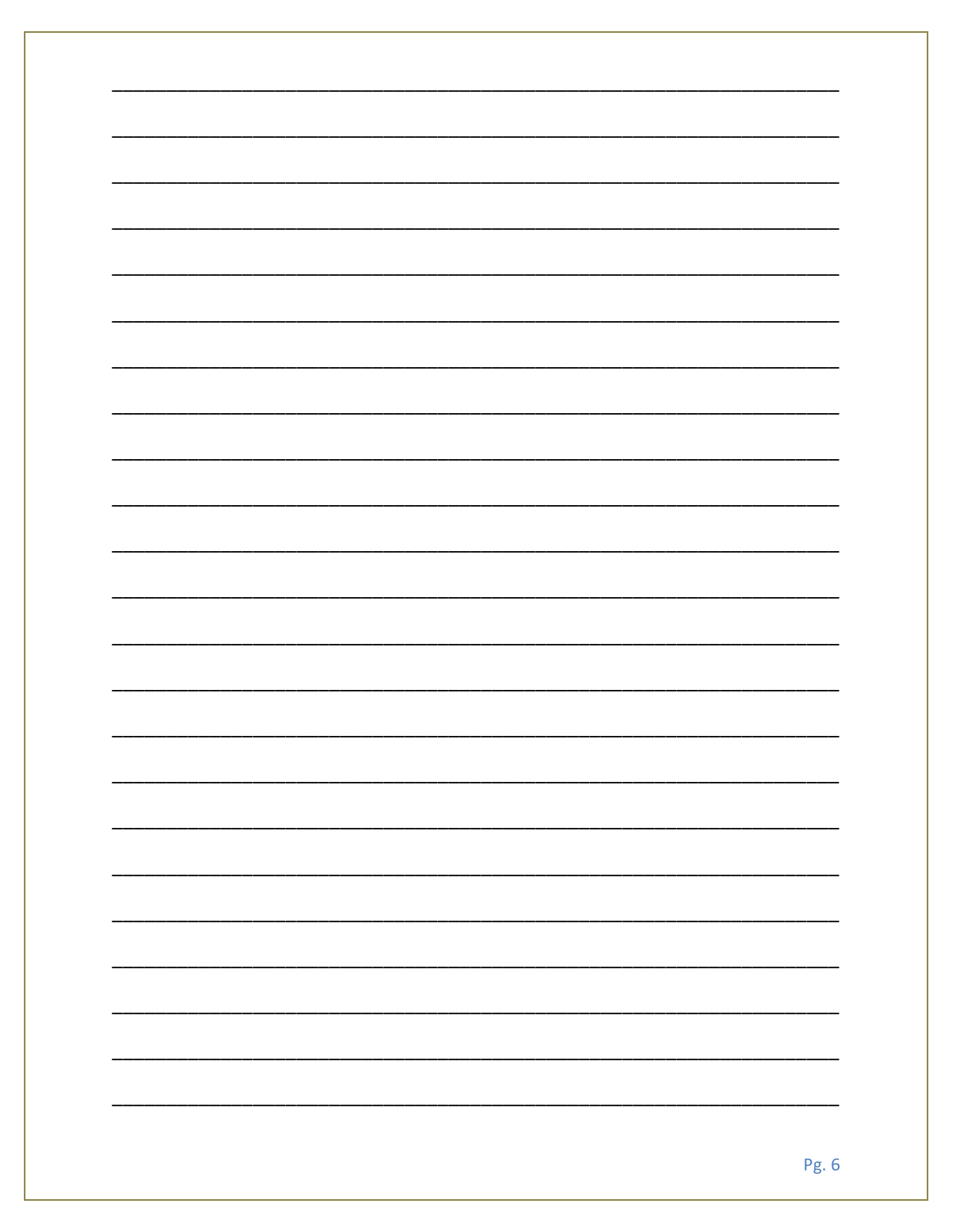|  |  | Pg. 6 |
|--|--|-------|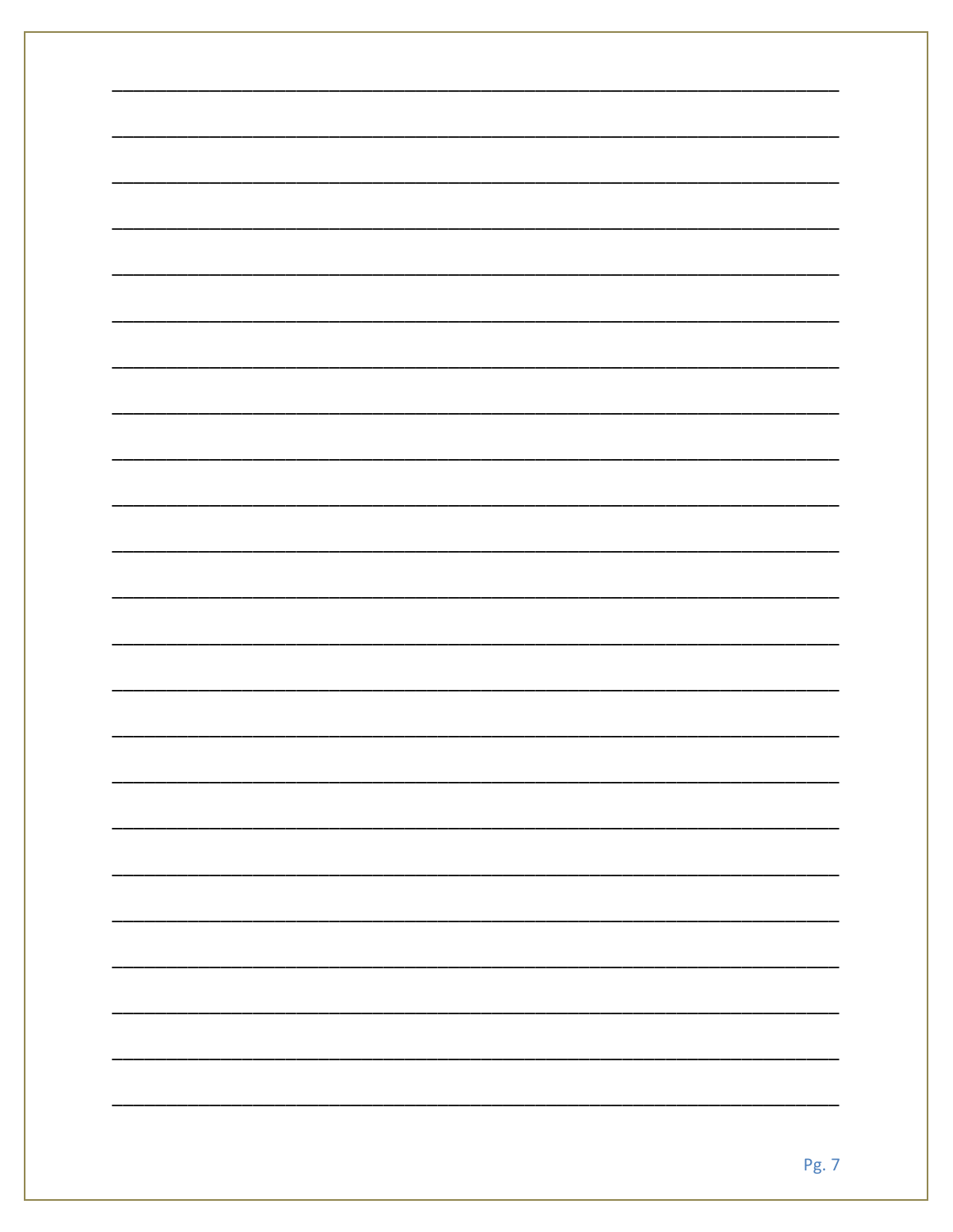| Pg. 7 |  |
|-------|--|